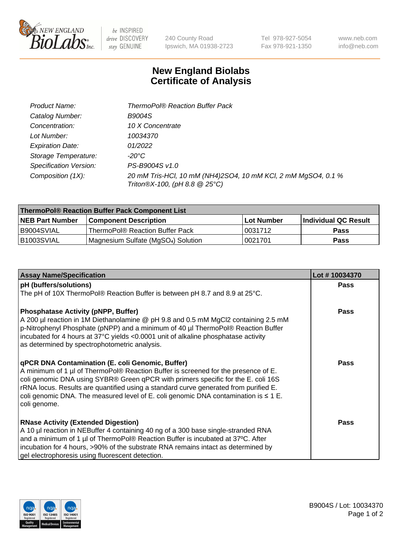

 $be$  INSPIRED drive DISCOVERY stay GENUINE

240 County Road Ipswich, MA 01938-2723

Tel 978-927-5054 Fax 978-921-1350

www.neb.com info@neb.com

## **New England Biolabs Certificate of Analysis**

| Product Name:                 | <b>ThermoPol® Reaction Buffer Pack</b>                                                         |
|-------------------------------|------------------------------------------------------------------------------------------------|
| Catalog Number:               | <b>B9004S</b>                                                                                  |
| Concentration:                | 10 X Concentrate                                                                               |
| Lot Number:                   | 10034370                                                                                       |
| <b>Expiration Date:</b>       | 01/2022                                                                                        |
| Storage Temperature:          | -20°C                                                                                          |
| <b>Specification Version:</b> | PS-B9004S v1.0                                                                                 |
| Composition (1X):             | 20 mM Tris-HCl, 10 mM (NH4)2SO4, 10 mM KCl, 2 mM MgSO4, 0.1 %<br>Triton®X-100, (pH 8.8 @ 25°C) |

| ThermoPol® Reaction Buffer Pack Component List |                                    |            |                             |  |
|------------------------------------------------|------------------------------------|------------|-----------------------------|--|
| <b>INEB Part Number</b>                        | <b>Component Description</b>       | Lot Number | <b>Individual QC Result</b> |  |
| I B9004SVIAL                                   | ThermoPol® Reaction Buffer Pack_   | 0031712    | <b>Pass</b>                 |  |
| IB1003SVIAL                                    | Magnesium Sulfate (MgSO4) Solution | 10021701   | Pass                        |  |

| <b>Assay Name/Specification</b>                                                                                                                                        | Lot #10034370 |
|------------------------------------------------------------------------------------------------------------------------------------------------------------------------|---------------|
| pH (buffers/solutions)                                                                                                                                                 | <b>Pass</b>   |
| The pH of 10X ThermoPol® Reaction Buffer is between pH 8.7 and 8.9 at 25°C.                                                                                            |               |
| <b>Phosphatase Activity (pNPP, Buffer)</b>                                                                                                                             | <b>Pass</b>   |
| A 200 µl reaction in 1M Diethanolamine @ pH 9.8 and 0.5 mM MgCl2 containing 2.5 mM                                                                                     |               |
| p-Nitrophenyl Phosphate (pNPP) and a minimum of 40 µl ThermoPol® Reaction Buffer<br>incubated for 4 hours at 37°C yields <0.0001 unit of alkaline phosphatase activity |               |
| as determined by spectrophotometric analysis.                                                                                                                          |               |
|                                                                                                                                                                        |               |
| qPCR DNA Contamination (E. coli Genomic, Buffer)<br>A minimum of 1 µl of ThermoPol® Reaction Buffer is screened for the presence of E.                                 | <b>Pass</b>   |
| coli genomic DNA using SYBR® Green qPCR with primers specific for the E. coli 16S                                                                                      |               |
| rRNA locus. Results are quantified using a standard curve generated from purified E.                                                                                   |               |
| coli genomic DNA. The measured level of E. coli genomic DNA contamination is $\leq 1$ E.<br>coli genome.                                                               |               |
|                                                                                                                                                                        |               |
| <b>RNase Activity (Extended Digestion)</b>                                                                                                                             | <b>Pass</b>   |
| A 10 µl reaction in NEBuffer 4 containing 40 ng of a 300 base single-stranded RNA                                                                                      |               |
| and a minimum of 1 µl of ThermoPol® Reaction Buffer is incubated at 37°C. After                                                                                        |               |
| incubation for 4 hours, >90% of the substrate RNA remains intact as determined by                                                                                      |               |
| gel electrophoresis using fluorescent detection.                                                                                                                       |               |